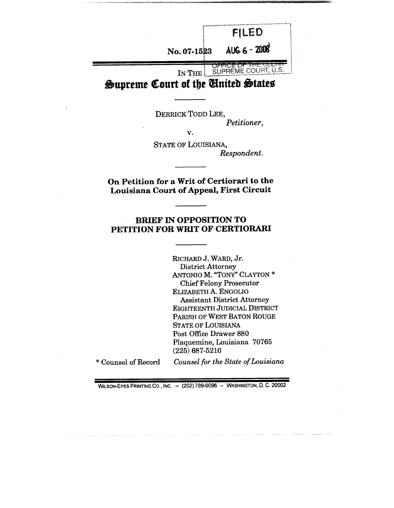**FILED** AUG 6 - 2008 **No. 07-15 ~3 OFFICE OF THE CLEANS** IN THE

**Supreme Court of the United States** 

DERRICK TODD LEE, *Petitioner, V.*

STATE OF LOUISIANA, *Respondent.*

## **On Petition for a Writ of Certiorari to the Louisiana Court of Appeal, First Circuit**

### **BRIEF IN OPPOSITION TO PETITION FOR WRIT OF CERTIORARI**

RICHARD J. WARD, Jr. District Attorney ANTONIO M. "TONY" CLAYTON \* Chief Felony Prosecutor ELIZABETH A. ENGOLIO Assistant District Attorney EIGHTEENTH JUDICIAL DISTRICT PARISH OF WEST BATON ROUGE STATE OF LOUISIANA Post Office Drawer 880 Plaquemine, Louisiana 70765 (225) 687-5210

\* Counsel of Record

*Counsel for the State of Louisiana*

WILSON-EPES PRINTING CO., INC. - (202) 789-0096 - WASHINGTON, D. C. 20002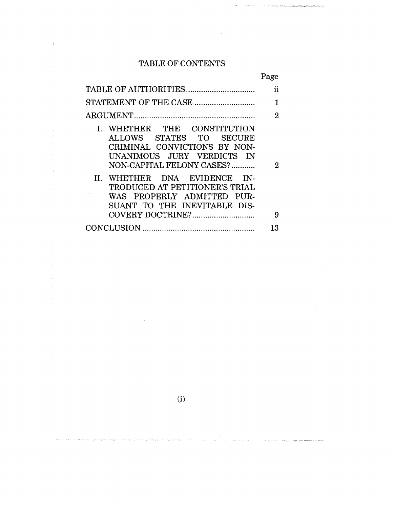# TABLE OF CONTENTS

 $\mathfrak{f}$ 

ŧ

 $\frac{1}{4}$ 

 $\bar{z}$ 

 $\mathbf{r}$ 

|                                                                                                                                                                                                                                                                                   | rage                |
|-----------------------------------------------------------------------------------------------------------------------------------------------------------------------------------------------------------------------------------------------------------------------------------|---------------------|
|                                                                                                                                                                                                                                                                                   | Ĥ                   |
|                                                                                                                                                                                                                                                                                   | 1                   |
|                                                                                                                                                                                                                                                                                   | 2                   |
| I. WHETHER THE CONSTITUTION<br>ALLOWS STATES TO SECURE<br>CRIMINAL CONVICTIONS BY NON-<br>UNANIMOUS JURY VERDICTS IN<br>NON-CAPITAL FELONY CASES?<br>II. WHETHER DNA EVIDENCE IN-<br>TRODUCED AT PETITIONER'S TRIAL<br>WAS PROPERLY ADMITTED PUR-<br>SUANT TO THE INEVITABLE DIS- | $\overline{2}$<br>9 |
|                                                                                                                                                                                                                                                                                   | 13                  |

(i)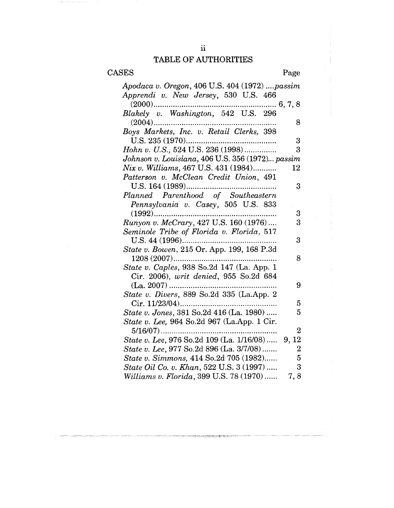# TABLE OF AUTHORITIES

| Apodaca v. Oregon, 406 U.S. 404 (1972) passim<br>Apprendi v. New Jersey, 530 U.S. 466<br>$(2000)$<br>Blakely v. Washington, 542 U.S. 296 |
|------------------------------------------------------------------------------------------------------------------------------------------|
|                                                                                                                                          |
|                                                                                                                                          |
|                                                                                                                                          |
| $(2004)$<br>8                                                                                                                            |
| Boys Markets, Inc. v. Retail Clerks, 398                                                                                                 |
| 3                                                                                                                                        |
| Hohn v. U.S., 524 U.S. 236 (1998)<br>3                                                                                                   |
| Johnson v. Louisiana, 406 U.S. 356 (1972) passim                                                                                         |
| Nix v. Williams, 467 U.S. 431 (1984)<br>12                                                                                               |
| Patterson v. McClean Credit Union, 491                                                                                                   |
| 3                                                                                                                                        |
| Planned Parenthood of Southeastern                                                                                                       |
| Pennsylvania v. Casey, 505 U.S. 833                                                                                                      |
| 3<br>$(1992)$                                                                                                                            |
| Runyon v. McCrary, 427 U.S. 160 (1976)<br>3                                                                                              |
| Seminole Tribe of Florida v. Florida, 517                                                                                                |
| 3                                                                                                                                        |
| State v. Bowen, 215 Or. App. 199, 168 P.3d                                                                                               |
| 1208 (2007)<br>8                                                                                                                         |
| State v. Caples, 938 So.2d 147 (La. App. 1                                                                                               |
| Cir. 2006), writ denied, 955 So.2d 684                                                                                                   |
| $(La. 2007)$<br>9<br>State v. Divers, 889 So.2d 335 (La.App. 2                                                                           |
| 5                                                                                                                                        |
| State v. Jones, 381 So.2d 416 (La. 1980)<br>5                                                                                            |
| State v. Lee, 964 So.2d 967 (La.App. 1 Cir.                                                                                              |
| $\mathbf 2$                                                                                                                              |
| State v. Lee, 976 So.2d 109 (La. 1/16/08) 9, 12                                                                                          |
| State v. Lee, 977 So.2d 896 (La. 3/7/08)<br>$\boldsymbol{2}$                                                                             |
| State v. Simmons, 414 So.2d 705 (1982)<br>5                                                                                              |
| State Oil Co. v. Khan, 522 U.S. 3 (1997)<br>3                                                                                            |
| Williams v. Florida, 399 U.S. 78 (1970)<br>7,8                                                                                           |

.<br>Przypisy przez przypisy sp

ন্দা তালি নেতাকা(PP) এরাজ্যান্টার বাজা

**SERVITES F**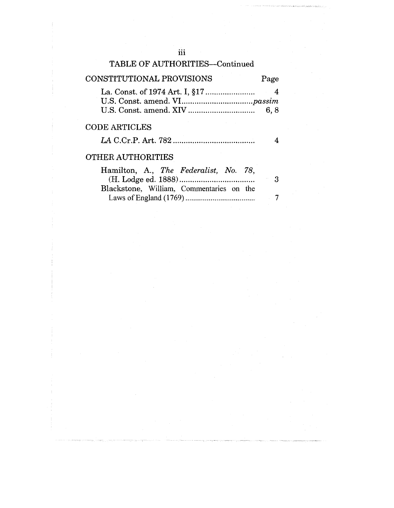| TABLE OF AUTHORITIES-Continued                                                    |            |
|-----------------------------------------------------------------------------------|------------|
| CONSTITUTIONAL PROVISIONS                                                         | Page       |
|                                                                                   | -4<br>6, 8 |
| <b>CODE ARTICLES</b>                                                              |            |
| <b>OTHER AUTHORITIES</b>                                                          |            |
| Hamilton, A., The Federalist, No. 78,<br>Blackstone, William, Commentaries on the | -3         |
|                                                                                   | 7          |

3

7

iii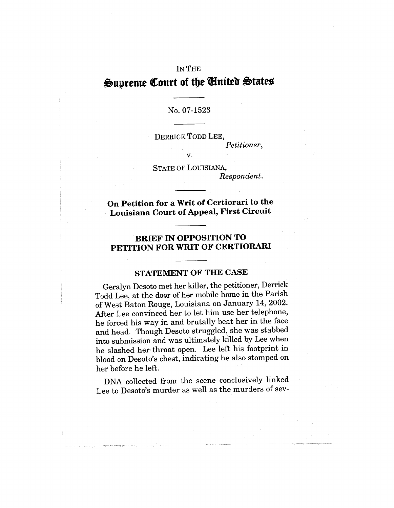# IN THE Supreme Court of the *United* States

#### No. 07-1523

*V.*

DERRICK TODD LEE, *Petitioner,*

STATE OF LOUISIANA, *Respondent.*

On Petition for a Writ of Certiorari to **the Louisiana** Court of Appeal, First Circuit

## **BRIEF IN OPPOSITION TO PETITION FOR WRIT OF CERTIORARI**

### **STATEMENT OF THE CASE**

Geralyn Desoto met her killer, the petitioner, Derrick Todd Lee, at the door of her mobile home in the Parish of West Baton Rouge, Louisiana on January 14, 2002. After Lee convinced her to let him use her telephone, he forced his way in and brutally beat her in the face and head. Though Desoto struggled, she was stabbed into submission and was ultimately killed by Lee when he slashed her throat open. Lee left his footprint in blood on Desoto's chest, indicating he also stomped on her before he left.

DNA collected from the scene conclusively linked Lee to Desoto's murder as well as the murders of sev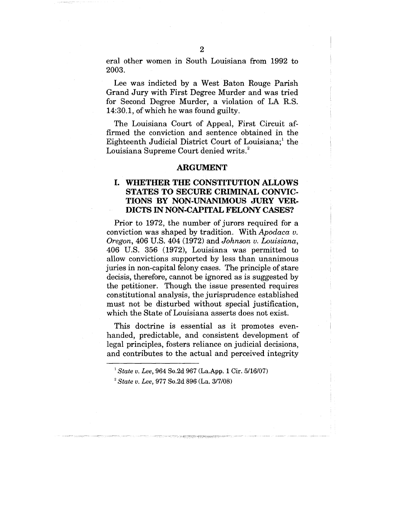eral other women in South Louisiana from 1992 to 2003.

Lee was indicted by a West Baton Rouge Parish Grand Jury with First Degree Murder and was tried for Second Degree Murder, a violation of LA R.S. 14:30.1, of which he was found guilty.

The Louisiana Court of Appeal, First Circuit affirmed the conviction and sentence obtained in the Eighteenth Judicial District Court of Louisiana;<sup>1</sup> the Louisiana Supreme Court denied writs.<sup>2</sup>

#### **ARGUMENT**

#### **I. WHETHER THE CONSTITUTION ALLOWS STATES TO SECURE CRIMINAL CONVIC-TIONS BY NON-UNANIMOUS JURY VER-DICTS IN NON-CAPITAL FELONY CASES?**

Prior to 1972, the number of jurors required for a conviction was shaped by tradition. With *Apodaca v. Oregon,* 406 U.S. 404 (1972) and *Johnson v. Louisiana,* 406 U.S. 356 (1972), Louisiana was permitted to allow convictions supported by less than unanimous juries in non-capital felony cases. The principle of stare decisis, therefore, cannot be ignored as is suggested by the petitioner. Though the issue presented requires constitutional analysis, the jurisprudence established must not be disturbed without special justification, which the State of Louisiana asserts does not exist.

This doctrine is essential as it promotes evenhanded, predictable, and consistent development of legal principles, fosters reliance on judicial decisions, and contributes to the actual and perceived integrity

*State v. Lee,* 964 So.2d 967 (La.App. 1 Cir. 5/16/07)

*State v. Lee,* 977 So.2d 896 (La. 3/7/08)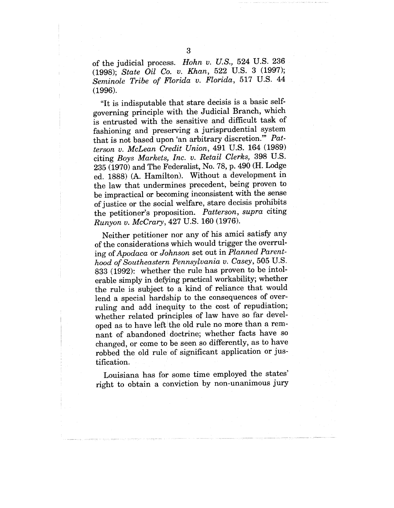of the judicial process. *Hohn v. U.S.,* 524 U.S. 236 (1998); *State Oil Co. v. Khan,* 522 U.S. 3 (1997); *Seminole Tribe of Florida v. Florida,* 517 U.S. 44 (1996).

"It is indisputable that stare decisis is a basic selfgoverning principle with the Judicial Branch, which is entrusted with the sensitive and difficult task of fashioning and preserving a jurisprudential system that is not based upon 'an arbitrary discretion.'" *Patterson v. McLean Credit Union,* 491 U.S. 164 (1989) citing *Boys Markets, Inc. v. Retail Clerks,* 398 U.S. 235 (1970) and The Federalist, No. 78, p. 490 (H. Lodge ed. 1888) (A. Hamilton). Without a development in the law that undermines precedent, being proven to be impractical or becoming inconsistent with the sense of justice or the social welfare, stare decisis prohibits the petitioner's proposition. *Patterson, supra* citing *Runyon v. McCrary,* 427 U.S. 160 (1976).

Neither petitioner nor any of his amici satisfy any of the considerations which would trigger the overruling *of Apodaca* or *Johnson* set out in *Planned Parenthood of Southeastern Pennsylvania v. Casey,* 505 U.S. 833 (1992): whether the rule has proven to be intolerable simply in defying practical workability; whether the rule is subject to a kind of reliance that would lend a special hardship to the consequences of overruling and add inequity to the cost of repudiation; whether related principles of law have so far developed as to have left the old rule no more than a remnant of abandoned doctrine; whether facts have so changed, or come to be seen so differently, as to have robbed the old rule of significant application or justification.

Louisiana has for some time employed the states' right to obtain a conviction by non-unanimous jury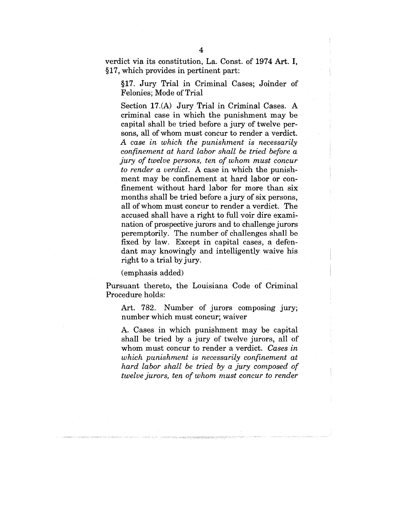verdict via its constitution, La. Const. of 1974 Art. I, §17, which provides in pertinent part:

§17. Jury Trial in Criminal Cases; Joinder of Felonies; Mode of Trial

Section 17.(A) Jury Trial in Criminal Cases. A criminal case in which the punishment may be capital shall be tried before a jury of twelve persons, all of whom must concur to render a verdict. *A case in which the punishment is necessarily confinement at hard labor shall be tried before a jury of twelve persons, ten of whom must concur to render a verdict.* A case in which the punishment may be confinement at hard labor or confinement without hard labor for more than six months shall be tried before a jury of six persons, all of whom must concur to render a verdict. The accused shall have a right to full voir dire examination of prospective jurors and to challenge jurors peremptorily. The number of challenges shall be fixed by law. Except in capital cases, a defendant may knowingly and intelligently waive his right to a trial by jury.

(emphasis added)

Pursuant thereto, the Louisiana Code of Criminal Procedure holds:

Art. 782. Number of jurors composing jury; number which must concur; waiver

A. Cases in which punishment may be capital shall be tried by a jury of twelve jurors, all of whom must concur to render a verdict. *Cases in which punishment is necessarily confinement at hard labor shall be tried by a jury composed of twelve jurors, ten of whom must concur to render*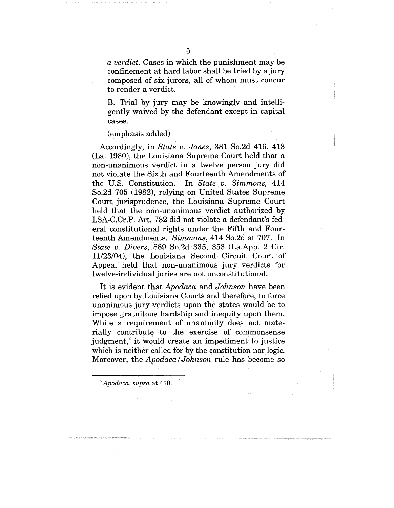*a verdict.* Cases in which the punishment may be confinement at hard labor shall be tried by a jury composed of six jurors, all of whom must concur to render a verdict.

B. Trial by jury may be knowingly and intelligently waived by the defendant except in capital cases.

#### (emphasis added)

Accordingly, in *State v. Jones,* 381 So.2d 416, 418 (La. 1980), the Louisiana Supreme Court held that a non-unanimous verdict in a twelve person jury did not violate the Sixth and Fourteenth Amendments of the U.S. Constitution. In *State v. Simmons,* 414 So.2d 705 (1982), relying on United States Supreme Court jurisprudence, the Louisiana Supreme Court held that the non-unanimous verdict authorized by LSA-C.Cr.P. Art. 782 did not violate a defendant's federal constitutional rights under the Fifth and Fourteenth Amendments. *Simmons,* 414 So.2d at 707. In *State v. Divers,* 889 So.2d 335, 353 (La.App. 2 Cir. 11/23/04), the Louisiana Second Circuit Court of Appeal held that non-unanimous jury verdicts for twelve-individual juries are not unconstitutional.

It is evident that *Apodaca* and *Johnson* have been relied upon by Louisiana Courts and therefore, to force unanimous jury verdicts upon the states would be to impose gratuitous hardship and inequity upon them. While a requirement of unanimity does not materially contribute to the exercise of commonsense judgment,<sup>3</sup> it would create an impediment to justice which is neither called for by the constitution nor logic. Moreover, the *Apodaca/Johnson* rule has become so

*~ Apodaca, supra* at 410.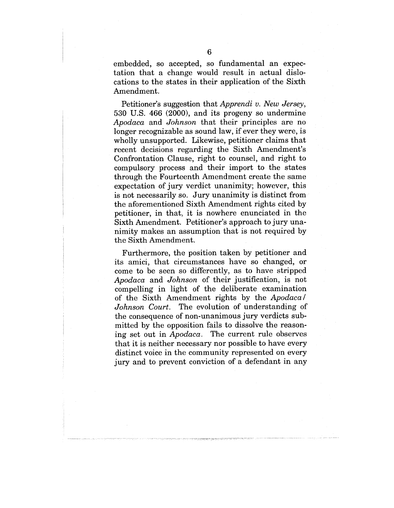embedded, so accepted, so fundamental an expectation that a change would result in actual dislocations to the states in their application of the Sixth Amendment.

Petitioner's suggestion that *Apprendi v. New Jersey,* 530 U.S. 466 (2000), and its progeny so undermine *Apodaca* and *Johnson* that their principles are no longer recognizable as sound law, if ever they were, is wholly unsupported. Likewise, petitioner claims that recent decisions regarding the Sixth Amendment's Confrontation Clause, right to counsel, and right to compulsory process and their import to the states through the Fourteenth Amendment create the same expectation of jury verdict unanimity; however, this is not necessarily so. Jury unanimity is distinct from the aforementioned Sixth Amendment rights cited by petitioner, in that, it is nowhere enunciated in the Sixth Amendment. Petitioner's approach to jury unanimity makes an assumption that is not required by the Sixth Amendment.

Furthermore, the position taken by petitioner and its amici, that circumstances have so changed, or come to be seen so differently, as to have stripped *Apodaca* and *Johnson* of their justification, is not compelling in light of the deliberate examination of the Sixth Amendment rights by the *Apodaca/ Johnson Court.* The evolution of understanding of the consequence of non-unanimous jury verdicts submitted by the opposition fails to dissolve the reasoning set out in *Apodaca.* The current rule observes that it is neither necessary nor possible to have every distinct voice in the community represented on every jury and to prevent conviction of a defendant in any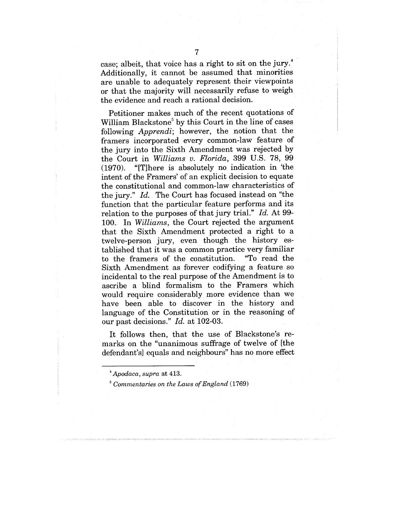case; albeit, that voice has a right to sit on the jury.<sup>4</sup> Additionally, it cannot be assumed that minorities are unable to adequately represent their viewpoints or that the majority will necessarily refuse to weigh the evidence and reach a rational decision.

Petitioner makes much of the recent quotations of William Blackstone<sup>5</sup> by this Court in the line of cases following *Apprendi;* however, the notion that the framers incorporated every common-law feature of the jury into the Sixth Amendment was rejected by the Court in *Williams v. Florida,* 399 U.S. 78, 99 (1970). "[T]here is absolutely no indication in 'the intent of the Framers' of an explicit decision to equate the constitutional and common-law characteristics of the jury." *Id.* The Court has focused instead on "the function that the particular feature performs and its relation to the purposes of that jury trial." *Id.* At 99- 100. In *Williams,* the Court rejected the argument that the Sixth Amendment protected a right to a twelve-person jury, even though the history established that it was a common practice very familiar to the framers of the constitution. Sixth Amendment as forever codifying a feature so incidental to the real purpose of the Amendment is to ascribe a blind formalism to the Framers which would require considerably more evidence than we have been able to discover in the history and language of the Constitution or in the reasoning of our past decisions." *Id.* at 102-03.

It follows then, that the use of Blackstone's remarks on the "unanimous suffrage of twelve of [the defendant's] equals and neighbours" has no more effect

*Apodaca, supra* at 413.

*Commentaries on the Laws of England* (1769)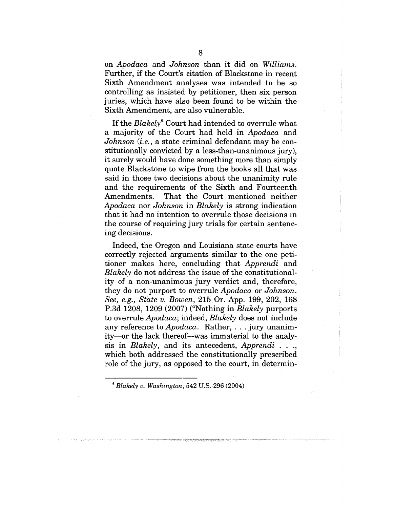on *Apodaca* and *Johnson* than it did on *Williams.* Further, if the Court's citation of Blackstone in recent Sixth Amendment analyses was intended to be so controlling as insisted by petitioner, then six person juries, which have also been found to be within the Sixth Amendment, are also vulnerable.

If the *Blakely*<sup>6</sup> Court had intended to overrule what a majority of the Court had held in *Apodaca* and *Johnson (i.e.,* a state criminal defendant may be constitutionally convicted by a less-than-unanimous jury), it surely would have done something more than simply quote Blackstone to wipe from the books all that was said in those two decisions about the unanimity rule and the requirements of the Sixth and Fourteenth Amendments. That the Court mentioned neither *Apodaca* nor *Johnson* in *Blakely* is strong indication that it had no intention to overrule those decisions in the course of requiring jury trials for certain sentencing decisions.

Indeed, the Oregon and Louisiana state courts have correctly rejected arguments similar to the one petitioner makes here, concluding that *Apprendi* and *Blakely* do not address the issue of the constitutionality of a non-unanimous jury verdict and, therefore, they do not purport to overrule *Apodaca* or *Johnson. See, e.g., State v. Bowen,* 215 Or. App. 199, 202, 168 P.3d 1208, 1209 (2007) ("Nothing in *Blakely* purports to overrule *Apodaca;* indeed, *Blakely* does not include any reference to *Apodaca.* Rather, . . . jury unanimity-or the lack thereof--was immaterial to the analysis in *Blakely,* and its antecedent, *Apprendi . ..,* which both addressed the constitutionally prescribed role of the jury, as opposed to the court, in determin-

*<sup>6</sup> Blakely v. Washington,* 542 U.S. 296 (2004)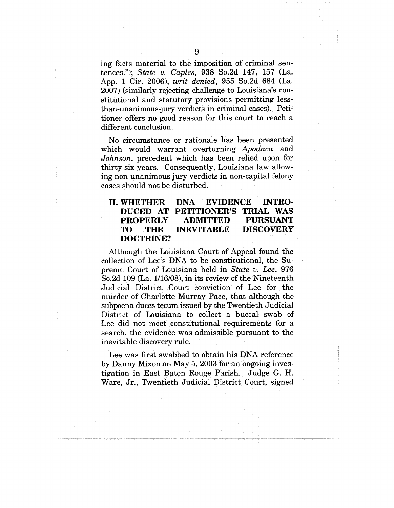ing facts material to the imposition of criminal sentences."); *State v. Caples,* 938 So.2d 147, 157 (La. App. 1 Cir. 2006), *writ denied,* 955 So.2d 684 (La. 2007) (similarly rejecting challenge to Louisiana's constitutional and statutory provisions permitting lessthan-unanimous-jury verdicts in criminal cases). Petitioner offers no good reason for this court to reach a different conclusion.

No circumstance or rationale has been presented which would warrant overturning *Apodaca* and *Johnson,* precedent which has been relied upon for thirty-six years. Consequently, Louisiana law allowing non-unanimous jury verdicts in non-capital felony cases should not be disturbed.

#### **II. WHETHER DUCED AT PETITIONER'S TRIAL WAS PROPERLY TO THE DOCTRINE? DNA EVIDENCE INTRO-ADMITTED PURSUANT DISCOVERY**

Although the Louisiana Court of Appeal found the collection of Lee's DNA to be constitutional, the Supreme Court of Louisiana held in *State v. Lee,* 976 So.2d 109 (La. 1/16/08), in its review of the Nineteenth Judicial District Court conviction of Lee for the murder of Charlotte Murray Pace, that although the subpoena duces tecum issued by the Twentieth Judicial District of Louisiana to collect a buccal swab of Lee did not meet constitutional requirements for a search, the evidence was admissible pursuant to the inevitable discovery rule.

Lee was first swabbed to obtain his DNA reference by Danny Mixon on May 5, 2003 for an ongoing investigation in East Baton Rouge Parish. Judge G. H. Ware, Jr., Twentieth Judicial District Court, signed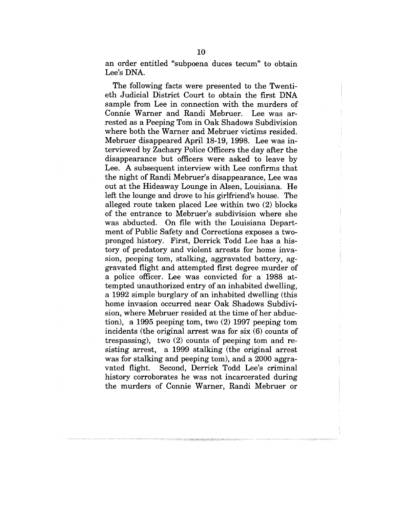an order entitled "subpoena duces tecum" to obtain Lee's DNA.

The following facts were presented to the Twentieth Judicial District Court to obtain the first DNA sample from Lee in connection with the murders of Connie Warner and Randi Mebruer. Lee was arrested as a Peeping Tom in Oak Shadows Subdivision where both the Warner and Mebruer victims resided. Mebruer disappeared April 18-19, 1998. Lee was interviewed by Zachary Police Officers the day after the disappearance but officers were asked to leave by Lee. A subsequent interview with Lee confirms that the night of Randi Mebruer's disappearance, Lee was out at the Hideaway Lounge in Alsen, Louisiana. He left the lounge and drove to his girlfriend's house. The alleged route taken placed Lee within two (2) blocks of the entrance to Mebruer's subdivision where she was abducted. On file with the Louisiana Department of Public Safety and Corrections exposes a twopronged history. First, Derrick Todd Lee has a history of predatory and violent arrests for home invasion, peeping tom, stalking, aggravated battery, aggravated flight and attempted first degree murder of a police officer. Lee was convicted for a 1988 attempted unauthorized entry of an inhabited dwelling, a 1992 simple burglary of an inhabited dwelling (this home invasion occurred near Oak Shadows Subdivision, where Mebruer resided at the time of her abduction), a 1995 peeping tom, two (2) 1997 peeping tom incidents (the original arrest was for six (6) counts of trespassing), two (2) counts of peeping tom and resisting arrest, a 1999 stalking (the original arrest was for stalking and peeping tom), and a 2000 aggravated flight. Second, Derrick Todd Lee's criminal history corroborates he was not incarcerated during the murders of Connie Warner, Randi Mebruer or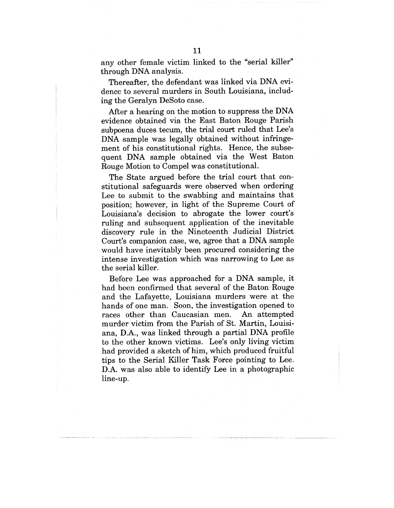any other female victim linked to the "serial killer" through DNA analysis.

Thereafter, the defendant was linked via DNA evidence to several murders in South Louisiana, including the Geralyn DeSoto case.

After a hearing on the motion to suppress the DNA evidence obtained via the East Baton Rouge Parish subpoena duces tecum, the trial court ruled that Lee's DNA sample was legally obtained without infringement of his constitutional rights. Hence, the subsequent DNA sample obtained via the West Baton Rouge Motion to Compel was constitutional.

The State argued before the trial court that constitutional safeguards were observed when ordering Lee to submit to the swabbing and maintains that position; however, in light of the Supreme Court of Louisiana's decision to abrogate the lower court's ruling and subsequent application of the inevitable discovery rule in the Nineteenth Judicial District Court's companion case, we, agree that a DNA sample would have inevitably been procured considering the intense investigation which was narrowing to Lee as the serial killer.

Before Lee was approached for a DNA sample, it had been confirmed that several of the Baton Rouge and the Lafayette, Louisiana murders were at the hands of one man. Soon, the investigation opened to races other than Caucasian men. An attempted murder victim from the Parish of St. Martin, Louisiana, D.A., was linked through a partial DNA profile to the other known victims. Lee's only living victim had provided a sketch of him, which produced fruitful tips to the Serial Killer Task Force pointing to Lee. D.A. was also able to identify Lee in a photographic line-up.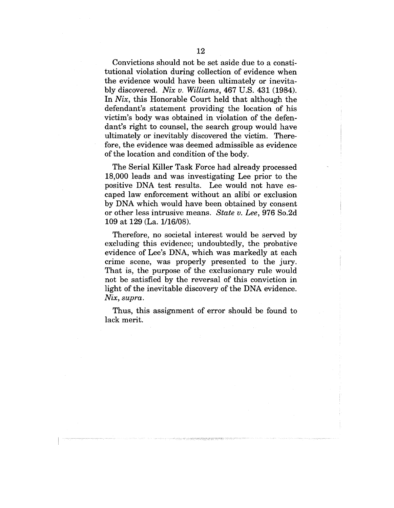Convictions should not be set aside due to a constitutional violation during collection of evidence when the evidence would have been ultimately or inevitably discovered. *Nix w. Williams,* 467 U.S. 431 (1984). In *Nix,* this Honorable Court held that although the defendant's statement providing the location of his victim's body was obtained in violation of the defendant's right to counsel, the search group would have ultimately or inevitably discovered the victim. Therefore, the evidence was deemed admissible as evidence of the location and condition of the body.

The Serial Killer Task Force had already processed 18,000 leads and was investigating Lee prior to the positive DNA test results. Lee would not have escaped law enforcement without an alibi or exclusion by DNA which would have been obtained by consent or other less intrusive means. *State v. Lee,* 976 So.2d 109 at 129 (La. 1/16/08).

Therefore, no societal interest would be served by excluding this evidence; undoubtedly, the probative evidence of Lee's DNA, which was markedly at each crime scene, was properly presented to the jury. That is, the purpose of the exclusionary rule would not be satisfied by the reversal of this conviction in light of the inevitable discovery of the DNA evidence. *Nix, supra.*

Thus, this assignment of error should be found to lack merit.